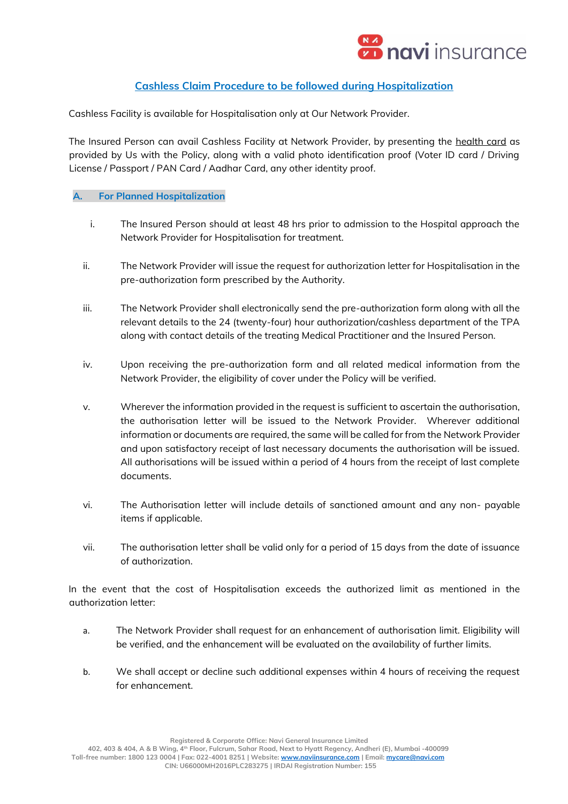

## **Cashless Claim Procedure to be followed during Hospitalization**

Cashless Facility is available for Hospitalisation only at Our Network Provider.

The Insured Person can avail Cashless Facility at Network Provider, by presenting the health card as provided by Us with the Policy, along with a valid photo identification proof (Voter ID card / Driving License / Passport / PAN Card / Aadhar Card, any other identity proof.

## **A. For Planned Hospitalization**

- i. The Insured Person should at least 48 hrs prior to admission to the Hospital approach the Network Provider for Hospitalisation for treatment.
- ii. The Network Provider will issue the request for authorization letter for Hospitalisation in the pre-authorization form prescribed by the Authority.
- iii. The Network Provider shall electronically send the pre-authorization form along with all the relevant details to the 24 (twenty-four) hour authorization/cashless department of the TPA along with contact details of the treating Medical Practitioner and the Insured Person.
- iv. Upon receiving the pre-authorization form and all related medical information from the Network Provider, the eligibility of cover under the Policy will be verified.
- v. Wherever the information provided in the request is sufficient to ascertain the authorisation, the authorisation letter will be issued to the Network Provider. Wherever additional information or documents are required, the same will be called for from the Network Provider and upon satisfactory receipt of last necessary documents the authorisation will be issued. All authorisations will be issued within a period of 4 hours from the receipt of last complete documents.
- vi. The Authorisation letter will include details of sanctioned amount and any non- payable items if applicable.
- vii. The authorisation letter shall be valid only for a period of 15 days from the date of issuance of authorization.

In the event that the cost of Hospitalisation exceeds the authorized limit as mentioned in the authorization letter:

- a. The Network Provider shall request for an enhancement of authorisation limit. Eligibility will be verified, and the enhancement will be evaluated on the availability of further limits.
- b. We shall accept or decline such additional expenses within 4 hours of receiving the request for enhancement.

 **402, 403 & 404, A & B Wing, 4th Floor, Fulcrum, Sahar Road, Next to Hyatt Regency, Andheri (E), Mumbai -400099 Toll-free number: 1800 123 0004 | Fax: 022-4001 8251 | Website[: www.naviinsurance.com](http://www.naviinsurance.com/) | Email[: mycare@navi.com](mailto:mycare@navi.com)**

 **CIN: U66000MH2016PLC283275 | IRDAI Registration Number: 155**